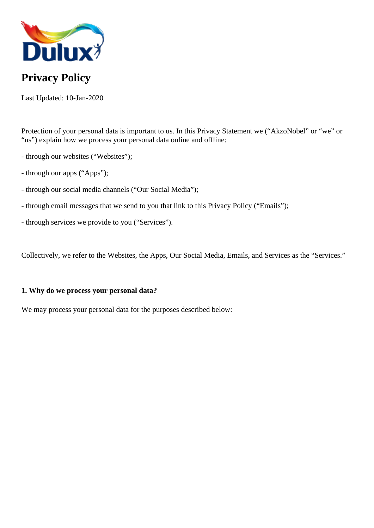

# **Privacy Policy**

Last Updated: 10-Jan-2020

Protection of your personal data is important to us. In this Privacy Statement we ("AkzoNobel" or "we" or "us") explain how we process your personal data online and offline:

- through our websites ("Websites");
- through our apps ("Apps");
- through our social media channels ("Our Social Media");
- through email messages that we send to you that link to this Privacy Policy ("Emails");
- through services we provide to you ("Services").

Collectively, we refer to the Websites, the Apps, Our Social Media, Emails, and Services as the "Services."

## **1. Why do we process your personal data?**

We may process your personal data for the purposes described below: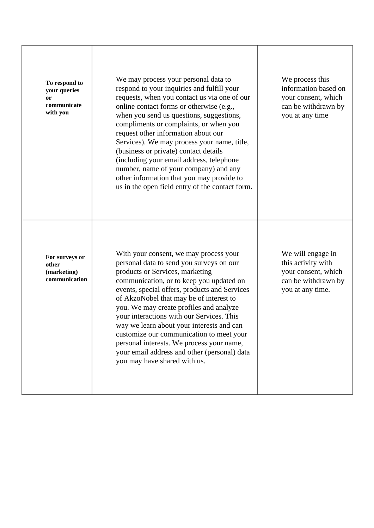| To respond to<br>your queries<br><b>or</b><br>communicate<br>with you | We may process your personal data to<br>respond to your inquiries and fulfill your<br>requests, when you contact us via one of our<br>online contact forms or otherwise (e.g.,<br>when you send us questions, suggestions,<br>compliments or complaints, or when you<br>request other information about our<br>Services). We may process your name, title,<br>(business or private) contact details<br>(including your email address, telephone<br>number, name of your company) and any<br>other information that you may provide to<br>us in the open field entry of the contact form. | We process this<br>information based on<br>your consent, which<br>can be withdrawn by<br>you at any time  |
|-----------------------------------------------------------------------|------------------------------------------------------------------------------------------------------------------------------------------------------------------------------------------------------------------------------------------------------------------------------------------------------------------------------------------------------------------------------------------------------------------------------------------------------------------------------------------------------------------------------------------------------------------------------------------|-----------------------------------------------------------------------------------------------------------|
| For surveys or<br>other<br>(marketing)<br>communication               | With your consent, we may process your<br>personal data to send you surveys on our<br>products or Services, marketing<br>communication, or to keep you updated on<br>events, special offers, products and Services<br>of AkzoNobel that may be of interest to<br>you. We may create profiles and analyze<br>your interactions with our Services. This<br>way we learn about your interests and can<br>customize our communication to meet your<br>personal interests. We process your name,<br>your email address and other (personal) data<br>you may have shared with us.              | We will engage in<br>this activity with<br>your consent, which<br>can be withdrawn by<br>you at any time. |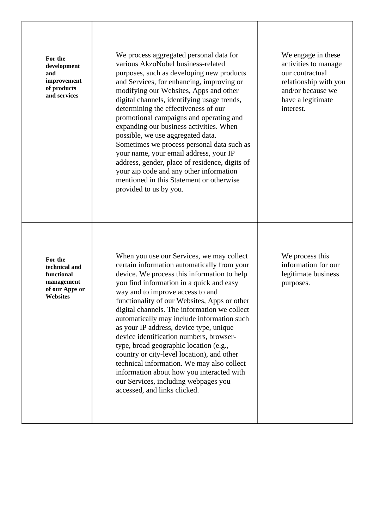| For the<br>development<br>and<br>improvement<br>of products<br>and services               | We process aggregated personal data for<br>various AkzoNobel business-related<br>purposes, such as developing new products<br>and Services, for enhancing, improving or<br>modifying our Websites, Apps and other<br>digital channels, identifying usage trends,<br>determining the effectiveness of our<br>promotional campaigns and operating and<br>expanding our business activities. When<br>possible, we use aggregated data.<br>Sometimes we process personal data such as<br>your name, your email address, your IP<br>address, gender, place of residence, digits of<br>your zip code and any other information<br>mentioned in this Statement or otherwise<br>provided to us by you.                         | We engage in these<br>activities to manage<br>our contractual<br>relationship with you<br>and/or because we<br>have a legitimate<br>interest. |
|-------------------------------------------------------------------------------------------|------------------------------------------------------------------------------------------------------------------------------------------------------------------------------------------------------------------------------------------------------------------------------------------------------------------------------------------------------------------------------------------------------------------------------------------------------------------------------------------------------------------------------------------------------------------------------------------------------------------------------------------------------------------------------------------------------------------------|-----------------------------------------------------------------------------------------------------------------------------------------------|
| For the<br>technical and<br>functional<br>management<br>of our Apps or<br><b>Websites</b> | When you use our Services, we may collect<br>certain information automatically from your<br>device. We process this information to help<br>you find information in a quick and easy<br>way and to improve access to and<br>functionality of our Websites, Apps or other<br>digital channels. The information we collect<br>automatically may include information such<br>as your IP address, device type, unique<br>device identification numbers, browser-<br>type, broad geographic location (e.g.,<br>country or city-level location), and other<br>technical information. We may also collect<br>information about how you interacted with<br>our Services, including webpages you<br>accessed, and links clicked. | We process this<br>information for our<br>legitimate business<br>purposes.                                                                    |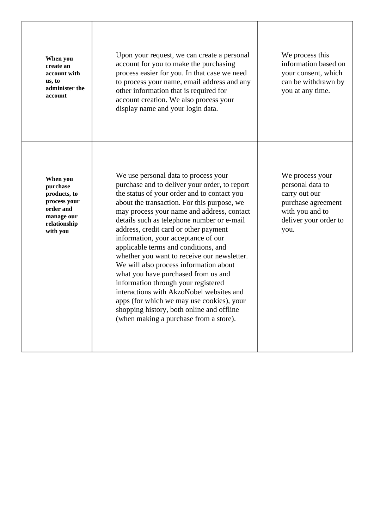| When you<br>create an<br>account with<br>us, to<br>administer the<br>account                                | Upon your request, we can create a personal<br>account for you to make the purchasing<br>process easier for you. In that case we need<br>to process your name, email address and any<br>other information that is required for<br>account creation. We also process your<br>display name and your login data.                                                                                                                                                                                                                                                                                                                                                                                                                                                  | We process this<br>information based on<br>your consent, which<br>can be withdrawn by<br>you at any time.                      |
|-------------------------------------------------------------------------------------------------------------|----------------------------------------------------------------------------------------------------------------------------------------------------------------------------------------------------------------------------------------------------------------------------------------------------------------------------------------------------------------------------------------------------------------------------------------------------------------------------------------------------------------------------------------------------------------------------------------------------------------------------------------------------------------------------------------------------------------------------------------------------------------|--------------------------------------------------------------------------------------------------------------------------------|
| When you<br>purchase<br>products, to<br>process your<br>order and<br>manage our<br>relationship<br>with you | We use personal data to process your<br>purchase and to deliver your order, to report<br>the status of your order and to contact you<br>about the transaction. For this purpose, we<br>may process your name and address, contact<br>details such as telephone number or e-mail<br>address, credit card or other payment<br>information, your acceptance of our<br>applicable terms and conditions, and<br>whether you want to receive our newsletter.<br>We will also process information about<br>what you have purchased from us and<br>information through your registered<br>interactions with AkzoNobel websites and<br>apps (for which we may use cookies), your<br>shopping history, both online and offline<br>(when making a purchase from a store). | We process your<br>personal data to<br>carry out our<br>purchase agreement<br>with you and to<br>deliver your order to<br>you. |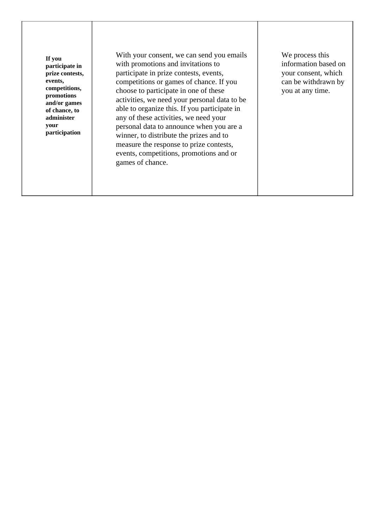**If you participate in prize contests, events, competitions, promotions and/or games of chance, to administer your participation**

With your consent, we can send you emails with promotions and invitations to participate in prize contests, events, competitions or games of chance. If you choose to participate in one of these activities, we need your personal data to be able to organize this. If you participate in any of these activities, we need your personal data to announce when you are a winner, to distribute the prizes and to measure the response to prize contests, events, competitions, promotions and or games of chance.

We process this information based on your consent, which can be withdrawn by you at any time.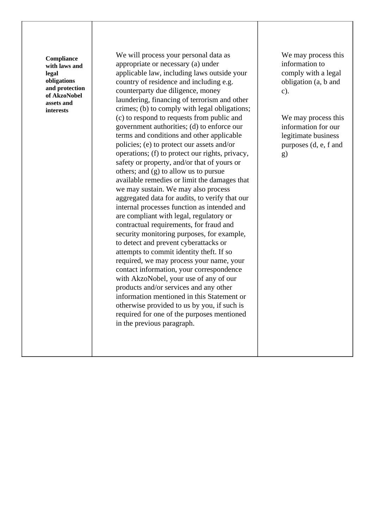| Compliance<br>with laws and<br>legal<br>obligations<br>and protection<br>of AkzoNobel<br>assets and<br>interests | We will process your personal data as<br>appropriate or necessary (a) under<br>applicable law, including laws outside your<br>country of residence and including e.g.<br>counterparty due diligence, money<br>laundering, financing of terrorism and other<br>crimes; (b) to comply with legal obligations;<br>(c) to respond to requests from public and<br>government authorities; (d) to enforce our<br>terms and conditions and other applicable<br>policies; (e) to protect our assets and/or<br>operations; (f) to protect our rights, privacy,<br>safety or property, and/or that of yours or<br>others; and (g) to allow us to pursue<br>available remedies or limit the damages that<br>we may sustain. We may also process<br>aggregated data for audits, to verify that our<br>internal processes function as intended and<br>are compliant with legal, regulatory or<br>contractual requirements, for fraud and<br>security monitoring purposes, for example,<br>to detect and prevent cyberattacks or<br>attempts to commit identity theft. If so<br>required, we may process your name, your | We may process this<br>information to<br>comply with a legal<br>obligation (a, b and<br>$c$ ).<br>We may process this<br>information for our<br>legitimate business<br>purposes (d, e, f and<br>g) |
|------------------------------------------------------------------------------------------------------------------|------------------------------------------------------------------------------------------------------------------------------------------------------------------------------------------------------------------------------------------------------------------------------------------------------------------------------------------------------------------------------------------------------------------------------------------------------------------------------------------------------------------------------------------------------------------------------------------------------------------------------------------------------------------------------------------------------------------------------------------------------------------------------------------------------------------------------------------------------------------------------------------------------------------------------------------------------------------------------------------------------------------------------------------------------------------------------------------------------------|----------------------------------------------------------------------------------------------------------------------------------------------------------------------------------------------------|
|                                                                                                                  | contact information, your correspondence<br>with AkzoNobel, your use of any of our<br>products and/or services and any other<br>information mentioned in this Statement or<br>otherwise provided to us by you, if such is<br>required for one of the purposes mentioned<br>in the previous paragraph.                                                                                                                                                                                                                                                                                                                                                                                                                                                                                                                                                                                                                                                                                                                                                                                                      |                                                                                                                                                                                                    |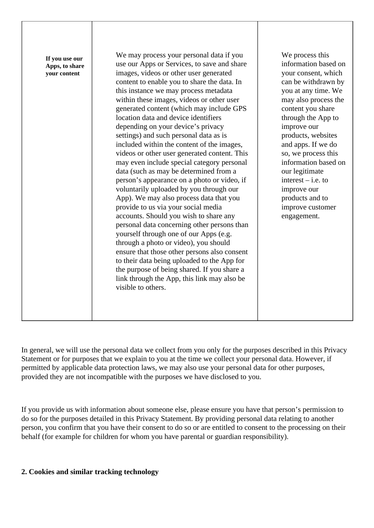| If you use our<br>Apps, to share<br>your content | We may process your personal data if you<br>use our Apps or Services, to save and share<br>images, videos or other user generated<br>content to enable you to share the data. In<br>this instance we may process metadata<br>within these images, videos or other user<br>generated content (which may include GPS<br>location data and device identifiers<br>depending on your device's privacy<br>settings) and such personal data as is<br>included within the content of the images,<br>videos or other user generated content. This<br>may even include special category personal<br>data (such as may be determined from a<br>person's appearance on a photo or video, if<br>voluntarily uploaded by you through our<br>App). We may also process data that you<br>provide to us via your social media<br>accounts. Should you wish to share any<br>personal data concerning other persons than<br>yourself through one of our Apps (e.g.<br>through a photo or video), you should<br>ensure that those other persons also consent<br>to their data being uploaded to the App for<br>the purpose of being shared. If you share a<br>link through the App, this link may also be<br>visible to others. | We process this<br>information based on<br>your consent, which<br>can be withdrawn by<br>you at any time. We<br>may also process the<br>content you share<br>through the App to<br>improve our<br>products, websites<br>and apps. If we do<br>so, we process this<br>information based on<br>our legitimate<br>interest $-$ i.e. to<br>improve our<br>products and to<br>improve customer<br>engagement. |
|--------------------------------------------------|-------------------------------------------------------------------------------------------------------------------------------------------------------------------------------------------------------------------------------------------------------------------------------------------------------------------------------------------------------------------------------------------------------------------------------------------------------------------------------------------------------------------------------------------------------------------------------------------------------------------------------------------------------------------------------------------------------------------------------------------------------------------------------------------------------------------------------------------------------------------------------------------------------------------------------------------------------------------------------------------------------------------------------------------------------------------------------------------------------------------------------------------------------------------------------------------------------------|----------------------------------------------------------------------------------------------------------------------------------------------------------------------------------------------------------------------------------------------------------------------------------------------------------------------------------------------------------------------------------------------------------|

In general, we will use the personal data we collect from you only for the purposes described in this Privacy Statement or for purposes that we explain to you at the time we collect your personal data. However, if permitted by applicable data protection laws, we may also use your personal data for other purposes, provided they are not incompatible with the purposes we have disclosed to you.

If you provide us with information about someone else, please ensure you have that person's permission to do so for the purposes detailed in this Privacy Statement. By providing personal data relating to another person, you confirm that you have their consent to do so or are entitled to consent to the processing on their behalf (for example for children for whom you have parental or guardian responsibility).

## **2. Cookies and similar tracking technology**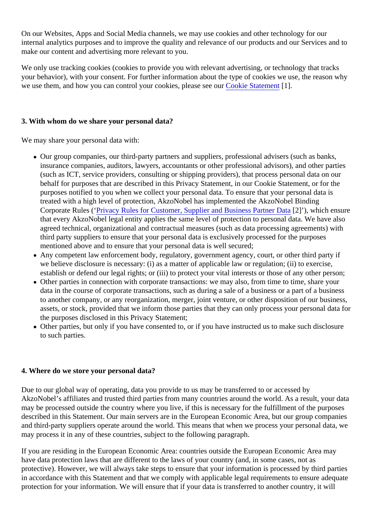On our Websites, Apps and Social Media channels, we may use cookies and other technology for our internal analytics purposes and to improve the quality and relevance of our products and our Services and to make our content and advertising more relevant to you.

We only use tracking cookies (cookies to provide you with relevant advertising, or technology that tracks your behavior), with your consent. For further information about the type of cookies we use, the reason why we use them, and how you can control your cookies, please see our [Cookie Statement](https://www.dulux.co.uk/en/cookies) [1].

# **3. With whom do we share your personal data?**

We may share your personal data with:

- Our group companies, our third-party partners and suppliers, professional advisers (such as banks, insurance companies, auditors, lawyers, accountants or other professional advisors), and other parties (such as ICT, service providers, consulting or shipping providers), that process personal data on our behalf for purposes that are described in this Privacy Statement, in our Cookie Statement, or for the purposes notified to you when we collect your personal data. To ensure that your personal data is treated with a high level of protection, AkzoNobel has implemented the AkzoNobel Binding Corporate Rules (['Privacy Rules for Customer, Supplier and Business Partner Data](https://84e1202b204d21a1cb9b-0e1ab5244fd095dbeb138ed6f973369e.ssl.cf3.rackcdn.com/7082privacyrulesforcustomersupplierandbusinesspartnerdata.pdf) [2]'), which ensure that every AkzoNobel legal entity applies the same level of protection to personal data. We have also agreed technical, organizational and contractual measures (such as data processing agreements) with third party suppliers to ensure that your personal data is exclusively processed for the purposes mentioned above and to ensure that your personal data is well secured;
- Any competent law enforcement body, regulatory, government agency, court, or other third party if we believe disclosure is necessary: (i) as a matter of applicable law or regulation; (ii) to exercise, establish or defend our legal rights; or (iii) to protect your vital interests or those of any other person;
- Other parties in connection with corporate transactions: we may also, from time to time, share your data in the course of corporate transactions, such as during a sale of a business or a part of a business to another company, or any reorganization, merger, joint venture, or other disposition of our business, assets, or stock, provided that we inform those parties that they can only process your personal data for the purposes disclosed in this Privacy Statement;
- Other parties, but only if you have consented to, or if you have instructed us to make such disclosure to such parties.

## **4. Where do we store your personal data?**

Due to our global way of operating, data you provide to us may be transferred to or accessed by AkzoNobel's affiliates and trusted third parties from many countries around the world. As a result, your data may be processed outside the country where you live, if this is necessary for the fulfillment of the purposes described in this Statement. Our main servers are in the European Economic Area, but our group companies and third-party suppliers operate around the world. This means that when we process your personal data, we may process it in any of these countries, subject to the following paragraph.

If you are residing in the European Economic Area: countries outside the European Economic Area may have data protection laws that are different to the laws of your country (and, in some cases, not as protective). However, we will always take steps to ensure that your information is processed by third parties in accordance with this Statement and that we comply with applicable legal requirements to ensure adequate protection for your information. We will ensure that if your data is transferred to another country, it will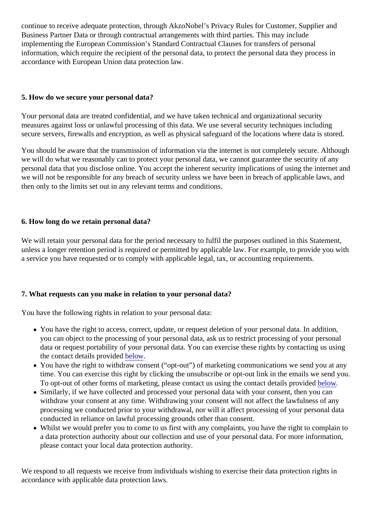continue to receive adequate protection, through AkzoNobel's Privacy Rules for Customer, Supplier and Business Partner Data or through contractual arrangements with third parties. This may include implementing the European Commission's Standard Contractual Clauses for transfers of personal information, which require the recipient of the personal data, to protect the personal data they process in accordance with European Union data protection law.

## **5. How do we secure your personal data?**

Your personal data are treated confidential, and we have taken technical and organizational security measures against loss or unlawful processing of this data. We use several security techniques including secure servers, firewalls and encryption, as well as physical safeguard of the locations where data is stored.

You should be aware that the transmission of information via the internet is not completely secure. Although we will do what we reasonably can to protect your personal data, we cannot guarantee the security of any personal data that you disclose online. You accept the inherent security implications of using the internet and we will not be responsible for any breach of security unless we have been in breach of applicable laws, and then only to the limits set out in any relevant terms and conditions.

# **6. How long do we retain personal data?**

We will retain your personal data for the period necessary to fulfil the purposes outlined in this Statement, unless a longer retention period is required or permitted by applicable law. For example, to provide you with a service you have requested or to comply with applicable legal, tax, or accounting requirements.

# **7. What requests can you make in relation to your personal data?**

You have the following rights in relation to your personal data:

- You have the right to access, correct, update, or request deletion of your personal data. In addition, you can object to the processing of your personal data, ask us to restrict processing of your personal data or request portability of your personal data. You can exercise these rights by contacting us using the contact details provided below.
- You have the right to withdraw consent ("opt-out") of marketing communications we send you at any time. You can exercise this right by clicking the unsubscribe or opt-out link in the emails we send you. To opt-out of other forms of marketing, please contact us using the contact details provided below.
- Similarly, if we have collected and processed your personal data with your consent, then you can withdraw your consent at any time. Withdrawing your consent will not affect the lawfulness of any processing we conducted prior to your withdrawal, nor will it affect processing of your personal data conducted in reliance on lawful processing grounds other than consent.
- Whilst we would prefer you to come to us first with any complaints, you have the right to complain to a data protection authority about our collection and use of your personal data. For more information, please contact your local data protection authority.

We respond to all requests we receive from individuals wishing to exercise their data protection rights in accordance with applicable data protection laws.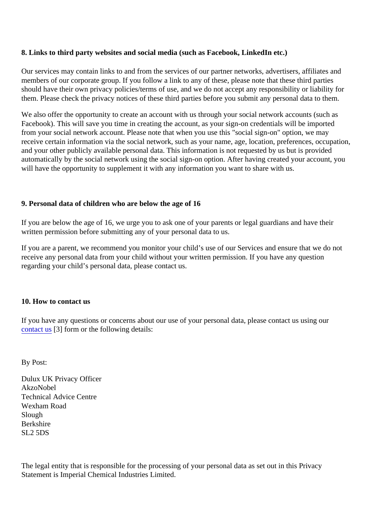#### **8. Links to third party websites and social media (such as Facebook, LinkedIn etc.)**

Our services may contain links to and from the services of our partner networks, advertisers, affiliates and members of our corporate group. If you follow a link to any of these, please note that these third parties should have their own privacy policies/terms of use, and we do not accept any responsibility or liability for them. Please check the privacy notices of these third parties before you submit any personal data to them.

We also offer the opportunity to create an account with us through your social network accounts (such as Facebook). This will save you time in creating the account, as your sign-on credentials will be imported from your social network account. Please note that when you use this "social sign-on" option, we may receive certain information via the social network, such as your name, age, location, preferences, occupation, and your other publicly available personal data. This information is not requested by us but is provided automatically by the social network using the social sign-on option. After having created your account, you will have the opportunity to supplement it with any information you want to share with us.

#### **9. Personal data of children who are below the age of 16**

If you are below the age of 16, we urge you to ask one of your parents or legal guardians and have their written permission before submitting any of your personal data to us.

If you are a parent, we recommend you monitor your child's use of our Services and ensure that we do not receive any personal data from your child without your written permission. If you have any question regarding your child's personal data, please contact us.

#### **10. How to contact us**

If you have any questions or concerns about our use of your personal data, please contact us using our [contact us](https://www.dulux.co.uk/en/contact-us) [3] form or the following details:

By Post:

Dulux UK Privacy Officer AkzoNobel Technical Advice Centre Wexham Road Slough Berkshire SL2 5DS

The legal entity that is responsible for the processing of your personal data as set out in this Privacy Statement is Imperial Chemical Industries Limited.